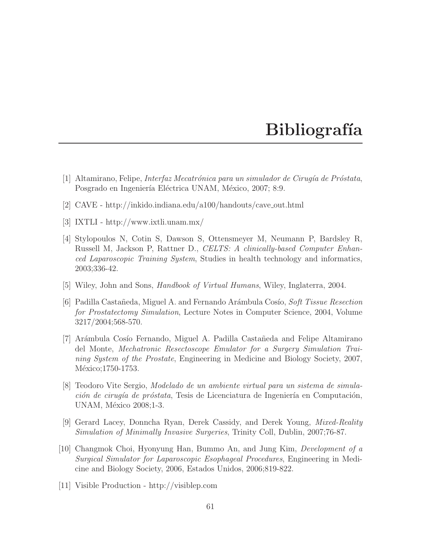## **Bibliografía**

- [1] Altamirano, Felipe, *Interfaz Mecatr´onica para un simulador de Cirug´ıa de Pr´ostata*, Posgrado en Ingeniería Eléctrica UNAM, México, 2007; 8:9.
- [2] CAVE http://inkido.indiana.edu/a100/handouts/cave out.html
- [3] IXTLI http://www.ixtli.unam.mx/
- [4] Stylopoulos N, Cotin S, Dawson S, Ottensmeyer M, Neumann P, Bardsley R, Russell M, Jackson P, Rattner D., *CELTS: A clinically-based Computer Enhanced Laparoscopic Training System*, Studies in health technology and informatics, 2003;336-42.
- [5] Wiley, John and Sons, *Handbook of Virtual Humans*, Wiley, Inglaterra, 2004.
- [6] Padilla Casta˜neda, Miguel A. and Fernando Ar´ambula Cos´ıo, *Soft Tissue Resection for Prostatectomy Simulation*, Lecture Notes in Computer Science, 2004, Volume 3217/2004;568-570.
- [7] Ar´ambula Cos´ıo Fernando, Miguel A. Padilla Casta˜neda and Felipe Altamirano del Monte, *Mechatronic Resectoscope Emulator for a Surgery Simulation Training System of the Prostate*, Engineering in Medicine and Biology Society, 2007, México;1750-1753.
- [8] Teodoro Vite Sergio, *Modelado de un ambiente virtual para un sistema de simulación de cirugía de próstata*, Tesis de Licenciatura de Ingeniería en Computación, UNAM, México 2008;1-3.
- [9] Gerard Lacey, Donncha Ryan, Derek Cassidy, and Derek Young, *Mixed-Reality Simulation of Minimally Invasive Surgeries*, Trinity Coll, Dublin, 2007;76-87.
- [10] Changmok Choi, Hyonyung Han, Bummo An, and Jung Kim, *Development of a Surgical Simulator for Laparoscopic Esophageal Procedures*, Engineering in Medicine and Biology Society, 2006, Estados Unidos, 2006;819-822.
- [11] Visible Production http://visiblep.com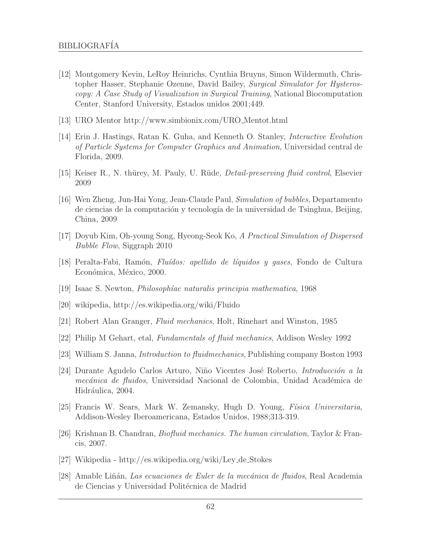- [12] Montgomery Kevin, LeRoy Heinrichs, Cynthia Bruyns, Simon Wildermuth, Christopher Hasser, Stephanie Ozenne, David Bailey, *Surgical Simulator for Hysteroscopy: A Case Study of Visualization in Surgical Training*, National Biocomputation Center, Stanford University, Estados unidos 2001;449.
- [13] URO Mentor http://www.simbionix.com/URO Mentot.html
- [14] Erin J. Hastings, Ratan K. Guha, and Kenneth O. Stanley, *Interactive Evolution of Particle Systems for Computer Graphics and Animation*, Universidad central de Florida, 2009.
- [15] Keiser R., N. th¨urey, M. Pauly, U. R¨ude, *Detail-preserving fluid control*, Elsevier 2009
- [16] Wen Zheng, Jun-Hai Yong, Jean-Claude Paul, *Simulation of bubbles*, Departamento de ciencias de la computación y tecnología de la universidad de Tsinghua, Beijing, China, 2009
- [17] Doyub Kim, Oh-young Song, Hyeong-Seok Ko, *A Practical Simulation of Dispersed Bubble Flow*, Siggraph 2010
- [18] Peralta-Fabi, Ram´on, *Flu´ıdos: apellido de l´ıquidos y gases*, Fondo de Cultura Económica, México, 2000.
- [19] Isaac S. Newton, *Philosoph´ıae naturalis principia mathematica*, 1968
- [20] wikipedia, http://es.wikipedia.org/wiki/Fluido
- [21] Robert Alan Granger, *Fluid mechanics*, Holt, Rinehart and Winston, 1985
- [22] Philip M Gehart, etal, *Fundamentals of fluid mechanics*, Addison Wesley 1992
- [23] William S. Janna, *Introduction to fluidmechanics*, Publishing company Boston 1993
- [24] Durante Agudelo Carlos Arturo, Niño Vicentes José Roberto, *Introducción a la mecánica de fluidos*, Universidad Nacional de Colombia, Unidad Académica de Hidráulica, 2004.
- [25] Francis W. Sears, Mark W. Zemansky, Hugh D. Young, *F´ısica Universitaria*, Addison-Wesley Iberoamericana, Estados Unidos, 1988;313-319.
- [26] Krishnan B. Chandran, *Biofluid mechanics. The human circulation*, Taylor & Francis, 2007.
- [27] Wikipedia http://es.wikipedia.org/wiki/Ley de Stokes
- [28] Amable Li˜n´an, *Las ecuaciones de Euler de la mec´anica de fluidos*, Real Academia de Ciencias y Universidad Politécnica de Madrid